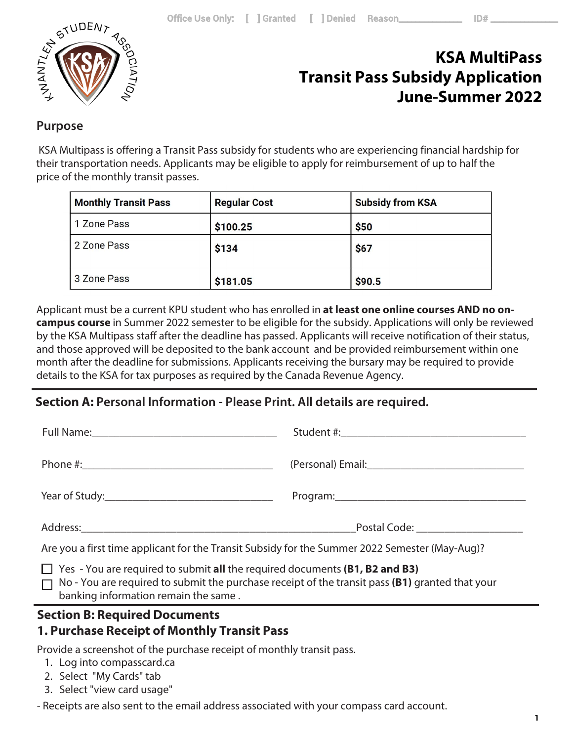

## **KSA MultiPass Transit Pass Subsidy Application June-Summer 2022**

## **Purpose**

 KSA Multipass is offering a Transit Pass subsidy for students who are experiencing financial hardship for their transportation needs. Applicants may be eligible to apply for reimbursement of up to half the price of the monthly transit passes.

| <b>Monthly Transit Pass</b> | <b>Regular Cost</b> | <b>Subsidy from KSA</b> |
|-----------------------------|---------------------|-------------------------|
| 1 Zone Pass                 | \$100.25            | \$50                    |
| 2 Zone Pass                 | \$134               | \$67                    |
| 3 Zone Pass                 | \$181.05            | \$90.5                  |

Applicant must be a current KPU student who has enrolled in **at least one online courses AND no oncampus course** in Summer 2022 semester to be eligible for the subsidy. Applications will only be reviewed by the KSA Multipass staff after the deadline has passed. Applicants will receive notification of their status, and those approved will be deposited to the bank account and be provided reimbursement within one month after the deadline for submissions. Applicants receiving the bursary may be required to provide details to the KSA for tax purposes as required by the Canada Revenue Agency.

## **Section A: Personal Information - Please Print. All details are required.**

|                                                                                                                                                                                                                                      | Postal Code: <u>_________________</u> |
|--------------------------------------------------------------------------------------------------------------------------------------------------------------------------------------------------------------------------------------|---------------------------------------|
| Are you a first time applicant for the Transit Subsidy for the Summer 2022 Semester (May-Aug)?                                                                                                                                       |                                       |
| $\Box$ Yes - You are required to submit all the required documents (B1, B2 and B3)<br>$\Box$ No - You are required to submit the purchase receipt of the transit pass (B1) granted that your<br>banking information remain the same. |                                       |

### **Section B: Required Documents**

## **1. Purchase Receipt of Monthly Transit Pass**

Provide a screenshot of the purchase receipt of monthly transit pass.

- 1. Log into compasscard.ca
- 2. Select "My Cards" tab
- 3. Select "view card usage"

- Receipts are also sent to the email address associated with your compass card account.